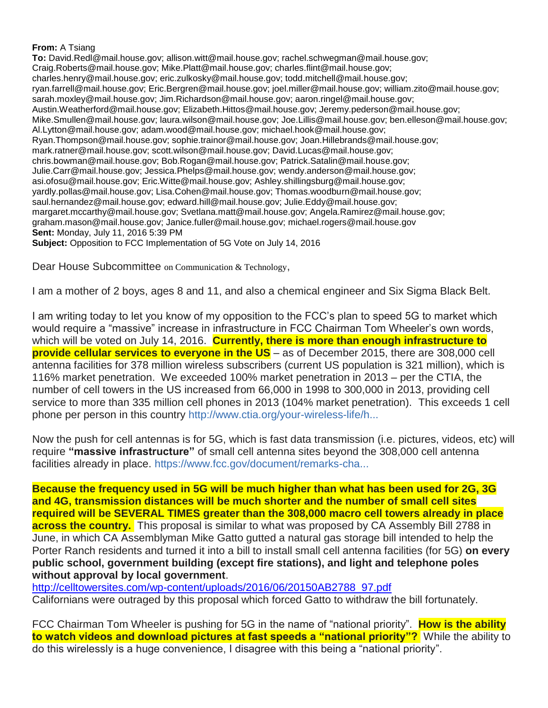#### **From:** A Tsiang

**To:** David.Redl@mail.house.gov; allison.witt@mail.house.gov; rachel.schwegman@mail.house.gov; Craig.Roberts@mail.house.gov; Mike.Platt@mail.house.gov; charles.flint@mail.house.gov; charles.henry@mail.house.gov; eric.zulkosky@mail.house.gov; todd.mitchell@mail.house.gov; ryan.farrell@mail.house.gov; Eric.Bergren@mail.house.gov; joel.miller@mail.house.gov; william.zito@mail.house.gov; sarah.moxley@mail.house.gov; Jim.Richardson@mail.house.gov; aaron.ringel@mail.house.gov; Austin.Weatherford@mail.house.gov; Elizabeth.Hittos@mail.house.gov; Jeremy.pederson@mail.house.gov; Mike.Smullen@mail.house.gov; laura.wilson@mail.house.gov; Joe.Lillis@mail.house.gov; ben.elleson@mail.house.gov; Al.Lytton@mail.house.gov; adam.wood@mail.house.gov; michael.hook@mail.house.gov; Ryan.Thompson@mail.house.gov; sophie.trainor@mail.house.gov; Joan.Hillebrands@mail.house.gov; mark.ratner@mail.house.gov; scott.wilson@mail.house.gov; David.Lucas@mail.house.gov; chris.bowman@mail.house.gov; Bob.Rogan@mail.house.gov; Patrick.Satalin@mail.house.gov; Julie.Carr@mail.house.gov; Jessica.Phelps@mail.house.gov; wendy.anderson@mail.house.gov; asi.ofosu@mail.house.gov; Eric.Witte@mail.house.gov; Ashley.shillingsburg@mail.house.gov; yardly.pollas@mail.house.gov; Lisa.Cohen@mail.house.gov; Thomas.woodburn@mail.house.gov; saul.hernandez@mail.house.gov; edward.hill@mail.house.gov; Julie.Eddy@mail.house.gov; margaret.mccarthy@mail.house.gov; Svetlana.matt@mail.house.gov; Angela.Ramirez@mail.house.gov; graham.mason@mail.house.gov; Janice.fuller@mail.house.gov; michael.rogers@mail.house.gov **Sent:** Monday, July 11, 2016 5:39 PM **Subject:** Opposition to FCC Implementation of 5G Vote on July 14, 2016

Dear House Subcommittee on Communication & Technology,

I am a mother of 2 boys, ages 8 and 11, and also a chemical engineer and Six Sigma Black Belt.

I am writing today to let you know of my opposition to the FCC's plan to speed 5G to market which would require a "massive" increase in infrastructure in FCC Chairman Tom Wheeler's own words, which will be voted on July 14, 2016. **Currently, there is more than enough infrastructure to provide cellular services to everyone in the US** – as of December 2015, there are 308,000 cell antenna facilities for 378 million wireless subscribers (current US population is 321 million), which is 116% market penetration. We exceeded 100% market penetration in 2013 – per the CTIA, the number of cell towers in the US increased from 66,000 in 1998 to 300,000 in 2013, providing cell service to more than 335 million cell phones in 2013 (104% market penetration). This exceeds 1 cell phone per person in this country [http://www.ctia.org/your-wireless-life/h...](http://www.ctia.org/your-wireless-life/how-wireless-works/annual-wireless-industry-survey)

Now the push for cell antennas is for 5G, which is fast data transmission (i.e. pictures, videos, etc) will require **"massive infrastructure"** of small cell antenna sites beyond the 308,000 cell antenna facilities already in place. [https://www.fcc.gov/document/remarks-cha...](https://www.fcc.gov/document/remarks-chairman-wheeler-future-wireless)

**Because the frequency used in 5G will be much higher than what has been used for 2G, 3G and 4G, transmission distances will be much shorter and the number of small cell sites required will be SEVERAL TIMES greater than the 308,000 macro cell towers already in place across the country.** This proposal is similar to what was proposed by CA Assembly Bill 2788 in June, in which CA Assemblyman Mike Gatto gutted a natural gas storage bill intended to help the Porter Ranch residents and turned it into a bill to install small cell antenna facilities (for 5G) **on every public school, government building (except fire stations), and light and telephone poles without approval by local government**.

[http://celltowersites.com/wp-content/uploads/2016/06/20150AB2788\\_97.pdf](http://celltowersites.com/wp-content/uploads/2016/06/20150AB2788_97.pdf) Californians were outraged by this proposal which forced Gatto to withdraw the bill fortunately.

FCC Chairman Tom Wheeler is pushing for 5G in the name of "national priority". **How is the ability to watch videos and download pictures at fast speeds a "national priority"?** While the ability to do this wirelessly is a huge convenience, I disagree with this being a "national priority".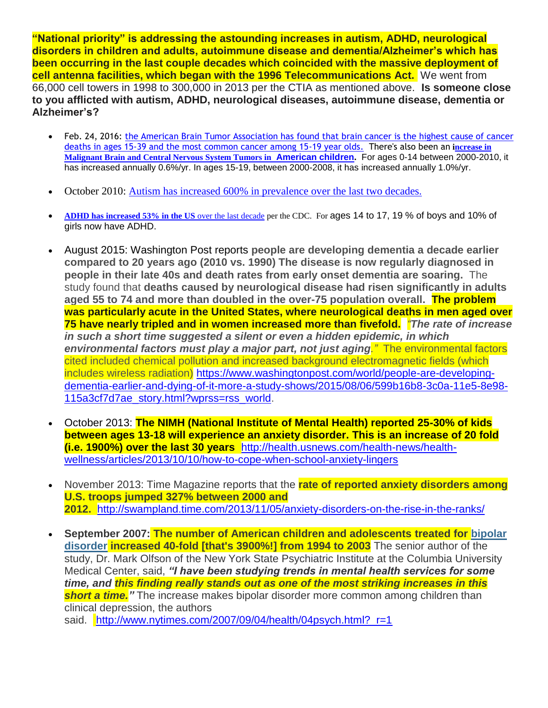**"National priority" is addressing the astounding increases in autism, ADHD, neurological disorders in children and adults, autoimmune disease and dementia/Alzheimer's which has been occurring in the last couple decades which coincided with the massive deployment of cell antenna facilities, which began with the 1996 Telecommunications Act.** We went from 66,000 cell towers in 1998 to 300,000 in 2013 per the CTIA as mentioned above. **Is someone close to you afflicted with autism, ADHD, neurological diseases, autoimmune disease, dementia or Alzheimer's?**

- Feb. 24, 2016: [the American Brain Tumor Association has found that brain cancer is the highest cause of cancer](http://www.eurekalert.org/pub_releases/2016-02/abta-mbt022216.php)  [deaths in ages 15-39 and the most common cancer among 15-19 year olds.](http://www.eurekalert.org/pub_releases/2016-02/abta-mbt022216.php) There's also been an **[increase in](http://www.saferemr.com/2015/05/brain-tumor-rates-are-rising-in-us-role.html)  [Malignant Brain and Central Nervous System Tumors in](http://www.saferemr.com/2015/05/brain-tumor-rates-are-rising-in-us-role.html) [American children.](http://www.saferemr.com/2015/05/brain-tumor-rates-are-rising-in-us-role.html)** For ages 0-14 between 2000-2010, it has increased annually 0.6%/yr. In ages 15-19, between 2000-2008, it has increased annually 1.0%/yr.
- October 2010: Autism [has increased 600% in prevalence over the last two decades.](https://blog.autismspeaks.org/2010/10/22/got-questions-answers-to-your-questions-from-the-autism-speaks%E2%80%99-science-staff-2/)
- **ADHD [has increased 53% in the US](http://www.wnd.com/2013/04/radical-increase-in-kids-prescribed-ritalin/)** over the last decade per the CDC. For ages 14 to 17, 19 % of boys and 10% of girls now have ADHD.
- August 2015: Washington Post reports **people are developing dementia a decade earlier compared to 20 years ago (2010 vs. 1990) The disease is now regularly diagnosed in people in their late 40s and death rates from early onset dementia are soaring.** The study found that **deaths caused by neurological disease had risen significantly in adults aged 55 to 74 and more than doubled in the over-75 population overall. The problem was particularly acute in the United States, where neurological deaths in men aged over 75 have nearly tripled and in women increased more than fivefold.** *"The rate of increase in such a short time suggested a silent or even a hidden epidemic, in which environmental factors must play a major part, not just aging."* The environmental factors cited included chemical pollution and increased background electromagnetic fields (which includes wireless radiation) [https://www.washingtonpost.com/world/people-are-developing](https://www.washingtonpost.com/world/people-are-developing-dementia-earlier-and-dying-of-it-more-a-study-shows/2015/08/06/599b16b8-3c0a-11e5-8e98-115a3cf7d7ae_story.html?wprss=rss_world)[dementia-earlier-and-dying-of-it-more-a-study-shows/2015/08/06/599b16b8-3c0a-11e5-8e98-](https://www.washingtonpost.com/world/people-are-developing-dementia-earlier-and-dying-of-it-more-a-study-shows/2015/08/06/599b16b8-3c0a-11e5-8e98-115a3cf7d7ae_story.html?wprss=rss_world) [115a3cf7d7ae\\_story.html?wprss=rss\\_world.](https://www.washingtonpost.com/world/people-are-developing-dementia-earlier-and-dying-of-it-more-a-study-shows/2015/08/06/599b16b8-3c0a-11e5-8e98-115a3cf7d7ae_story.html?wprss=rss_world)
- October 2013: **The NIMH (National Institute of Mental Health) reported 25-30% of kids between ages 13-18 will experience an anxiety disorder. This is an increase of 20 fold (i.e. 1900%) over the last 30 years** [http://health.usnews.com/health-news/health](http://health.usnews.com/health-news/health-wellness/articles/2013/10/10/how-to-cope-when-school-anxiety-lingers)[wellness/articles/2013/10/10/how-to-cope-when-school-anxiety-lingers](http://health.usnews.com/health-news/health-wellness/articles/2013/10/10/how-to-cope-when-school-anxiety-lingers)
- November 2013: Time Magazine reports that the **rate of reported anxiety disorders among U.S. troops jumped 327% between 2000 and 2012.** <http://swampland.time.com/2013/11/05/anxiety-disorders-on-the-rise-in-the-ranks/>
- **September 2007: The number of American children and adolescents treated for [bipolar](http://health.nytimes.com/health/guides/disease/bipolar-disorder/overview.html?inline=nyt-classifier&version=meter+at+3&module=meter-Links&pgtype=article&contentId=&mediaId=&referrer=http%3A%2F%2Fwww.salon.com%2F2013%2F08%2F26%2Fhow_our_society_breeds_anxiety_depression_and_dysfunction_partner%2F&priority=true&action=click&contentCollection=meter-links-click)  [disorder](http://health.nytimes.com/health/guides/disease/bipolar-disorder/overview.html?inline=nyt-classifier&version=meter+at+3&module=meter-Links&pgtype=article&contentId=&mediaId=&referrer=http%3A%2F%2Fwww.salon.com%2F2013%2F08%2F26%2Fhow_our_society_breeds_anxiety_depression_and_dysfunction_partner%2F&priority=true&action=click&contentCollection=meter-links-click) increased 40-fold [that's 3900%!] from 1994 to 2003** The senior author of the study, Dr. Mark Olfson of the New York State Psychiatric Institute at the Columbia University Medical Center, said, *"I have been studying trends in mental health services for some time, and this finding really stands out as one of the most striking increases in this short a time."* The increase makes bipolar disorder more common among children than clinical depression, the authors

said. http://www.nytimes.com/2007/09/04/health/04psych.html? r=1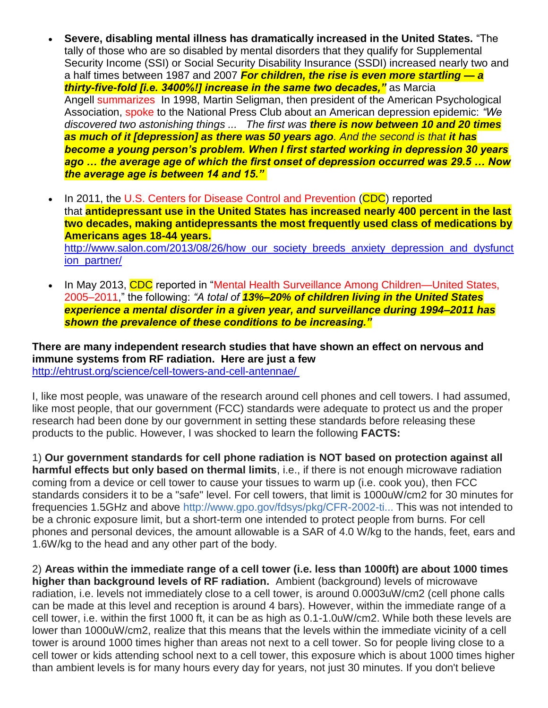- **Severe, disabling mental illness has dramatically increased in the United States.** "The tally of those who are so disabled by mental disorders that they qualify for Supplemental Security Income (SSI) or Social Security Disability Insurance (SSDI) increased nearly two and a half times between 1987 and 2007 *For children, the rise is even more startling — a thirty-five-fold [i.e. 3400%!] increase in the same two decades,"* as Marcia Angell [summarizes](http://www.nybooks.com/articles/archives/2011/jun/23/epidemic-mental-illness-why/?page=1) In 1998, Martin Seligman, then president of the American Psychological Association, [spoke](http://www.nonopp.com/ar/Psicologia/00/epidemic_depersion.htm) to the National Press Club about an American depression epidemic: *"We discovered two astonishing things ... The first was there is now between 10 and 20 times as much of it [depression] as there was 50 years ago. And the second is that it has become a young person's problem. When I first started working in depression 30 years ago … the average age of which the first onset of depression occurred was 29.5 … Now the average age is between 14 and 15."*
- In 2011, the [U.S. Centers for Disease Control and Prevention](http://www.cdc.gov/nchs/data/databriefs/db76.htm) (CDC) reported that **antidepressant use in the United States has increased nearly 400 percent in the last two decades, making antidepressants the most frequently used class of medications by Americans ages 18-44 years.** [http://www.salon.com/2013/08/26/how\\_our\\_society\\_breeds\\_anxiety\\_depression\\_and\\_dysfunct](http://www.salon.com/2013/08/26/how_our_society_breeds_anxiety_depression_and_dysfunction_partner/) [ion\\_partner/](http://www.salon.com/2013/08/26/how_our_society_breeds_anxiety_depression_and_dysfunction_partner/)
- In May 2013, CDC reported in ["Mental Health Surveillance Among Children—United States,](http://www.cdc.gov/mmwr/preview/mmwrhtml/su6202a1.htm?s_cid=su6202a1_w)  [2005–2011,](http://www.cdc.gov/mmwr/preview/mmwrhtml/su6202a1.htm?s_cid=su6202a1_w)" the following: *"A total of 13%–20% of children living in the United States experience a mental disorder in a given year, and surveillance during 1994–2011 has shown the prevalence of these conditions to be increasing."*

**There are many independent research studies that have shown an effect on nervous and immune systems from RF radiation. Here are just a few** <http://ehtrust.org/science/cell-towers-and-cell-antennae/>

I, like most people, was unaware of the research around cell phones and cell towers. I had assumed, like most people, that our government (FCC) standards were adequate to protect us and the proper research had been done by our government in setting these standards before releasing these products to the public. However, I was shocked to learn the following **FACTS:** 

1) **Our government standards for cell phone radiation is NOT based on protection against all harmful effects but only based on thermal limits**, i.e., if there is not enough microwave radiation coming from a device or cell tower to cause your tissues to warm up (i.e. cook you), then FCC standards considers it to be a "safe" level. For cell towers, that limit is 1000uW/cm2 for 30 minutes for frequencies 1.5GHz and above [http://www.gpo.gov/fdsys/pkg/CFR-2002-ti...](http://www.gpo.gov/fdsys/pkg/CFR-2002-title47-vol1/pdf/CFR-2002-title47-vol1-sec1-1310.pdf) This was not intended to be a chronic exposure limit, but a short-term one intended to protect people from burns. For cell phones and personal devices, the amount allowable is a SAR of 4.0 W/kg to the hands, feet, ears and 1.6W/kg to the head and any other part of the body.

2) **Areas within the immediate range of a cell tower (i.e. less than 1000ft) are about 1000 times higher than background levels of RF radiation.** Ambient (background) levels of microwave radiation, i.e. levels not immediately close to a cell tower, is around 0.0003uW/cm2 (cell phone calls can be made at this level and reception is around 4 bars). However, within the immediate range of a cell tower, i.e. within the first 1000 ft, it can be as high as 0.1-1.0uW/cm2. While both these levels are lower than 1000uW/cm2, realize that this means that the levels within the immediate vicinity of a cell tower is around 1000 times higher than areas not next to a cell tower. So for people living close to a cell tower or kids attending school next to a cell tower, this exposure which is about 1000 times higher than ambient levels is for many hours every day for years, not just 30 minutes. If you don't believe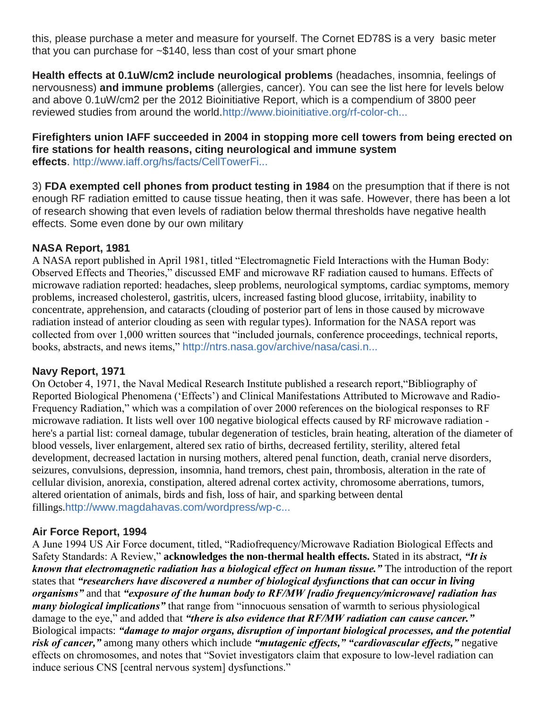this, please purchase a meter and measure for yourself. The Cornet ED78S is a very basic meter that you can purchase for ~\$140, less than cost of your smart phone

**Health effects at 0.1uW/cm2 include neurological problems** (headaches, insomnia, feelings of nervousness) **and immune problems** (allergies, cancer). You can see the list here for levels below and above 0.1uW/cm2 per the 2012 Bioinitiative Report, which is a compendium of 3800 peer reviewed studies from around the world[.http://www.bioinitiative.org/rf-color-ch...](http://www.bioinitiative.org/rf-color-charts/)

### **Firefighters union IAFF succeeded in 2004 in stopping more cell towers from being erected on fire stations for health reasons, citing neurological and immune system effects**. [http://www.iaff.org/hs/facts/CellTowerFi...](http://www.iaff.org/hs/facts/CellTowerFinal.asp)

3) **FDA exempted cell phones from product testing in 1984** on the presumption that if there is not enough RF radiation emitted to cause tissue heating, then it was safe. However, there has been a lot of research showing that even levels of radiation below thermal thresholds have negative health effects. Some even done by our own military

# **NASA Report, 1981**

A NASA report published in April 1981, titled "Electromagnetic Field Interactions with the Human Body: Observed Effects and Theories," discussed EMF and microwave RF radiation caused to humans. Effects of microwave radiation reported: headaches, sleep problems, neurological symptoms, cardiac symptoms, memory problems, increased cholesterol, gastritis, ulcers, increased fasting blood glucose, irritabiity, inability to concentrate, apprehension, and cataracts (clouding of posterior part of lens in those caused by microwave radiation instead of anterior clouding as seen with regular types). Information for the NASA report was collected from over 1,000 written sources that "included journals, conference proceedings, technical reports, books, abstracts, and news items," [http://ntrs.nasa.gov/archive/nasa/casi.n...](http://ntrs.nasa.gov/archive/nasa/casi.ntrs.nasa.gov/19810017132.pdf)

# **Navy Report, 1971**

On October 4, 1971, the Naval Medical Research Institute published a research report,"Bibliography of Reported Biological Phenomena ('Effects') and Clinical Manifestations Attributed to Microwave and Radio-Frequency Radiation," which was a compilation of over 2000 references on the biological responses to RF microwave radiation. It lists well over 100 negative biological effects caused by RF microwave radiation here's a partial list: corneal damage, tubular degeneration of testicles, brain heating, alteration of the diameter of blood vessels, liver enlargement, altered sex ratio of births, decreased fertility, sterility, altered fetal development, decreased lactation in nursing mothers, altered penal function, death, cranial nerve disorders, seizures, convulsions, depression, insomnia, hand tremors, chest pain, thrombosis, alteration in the rate of cellular division, anorexia, constipation, altered adrenal cortex activity, chromosome aberrations, tumors, altered orientation of animals, birds and fish, loss of hair, and sparking between dental fillings.[http://www.magdahavas.com/wordpress/wp-c...](http://www.magdahavas.com/wordpress/wp-content/uploads/2010/06/Navy_Radiowave_Brief.pdf)

# **Air Force Report, 1994**

A June 1994 US Air Force document, titled, "Radiofrequency/Microwave Radiation Biological Effects and Safety Standards: A Review," **acknowledges the non-thermal health effects.** Stated in its abstract, *"It is known that electromagnetic radiation has a biological effect on human tissue."* The introduction of the report states that *"researchers have discovered a number of biological dysfunctions that can occur in living organisms"* and that *"exposure of the human body to RF/MW [radio frequency/microwave] radiation has many biological implications"* that range from "innocuous sensation of warmth to serious physiological damage to the eye," and added that *"there is also evidence that RF/MW radiation can cause cancer."* Biological impacts: *"damage to major organs, disruption of important biological processes, and the potential risk of cancer,"* among many others which include *"mutagenic effects," "cardiovascular effects,"* negative effects on chromosomes, and notes that "Soviet investigators claim that exposure to low-level radiation can induce serious CNS [central nervous system] dysfunctions."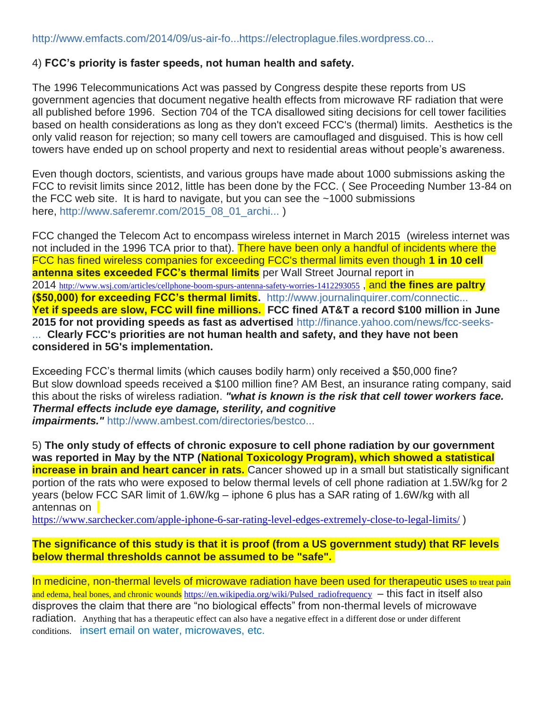### 4) **FCC's priority is faster speeds, not human health and safety.**

The 1996 Telecommunications Act was passed by Congress despite these reports from US government agencies that document negative health effects from microwave RF radiation that were all published before 1996. Section 704 of the TCA disallowed siting decisions for cell tower facilities based on health considerations as long as they don't exceed FCC's (thermal) limits. Aesthetics is the only valid reason for rejection; so many cell towers are camouflaged and disguised. This is how cell towers have ended up on school property and next to residential areas without people's awareness.

Even though doctors, scientists, and various groups have made about 1000 submissions asking the FCC to revisit limits since 2012, little has been done by the FCC. ( See Proceeding Number 13-84 on the FCC web site. It is hard to navigate, but you can see the  $\sim$ 1000 submissions here, [http://www.saferemr.com/2015\\_08\\_01\\_archi...](http://www.saferemr.com/2015_08_01_archive.html) )

FCC changed the Telecom Act to encompass wireless internet in March 2015 (wireless internet was not included in the 1996 TCA prior to that). There have been only a handful of incidents where the FCC has fined wireless companies for exceeding FCC's thermal limits even though **1 in 10 cell antenna sites exceeded FCC's thermal limits** per Wall Street Journal report in 2014 <http://www.wsj.com/articles/cellphone-boom-spurs-antenna-safety-worries-1412293055> , and **the fines are paltry (\$50,000) for exceeding FCC's thermal limits.** [http://www.journalinquirer.com/connectic...](http://www.journalinquirer.com/connecticut_and_region/fcc-keeps-secret-records-from-radiation-probe-at-verizon-s/article_0dbb367e-62d9-11e5-99da-ebeab2025003.html) **Yet if speeds are slow, FCC will fine millions. FCC fined AT&T a record \$100 million in June 2015 for not providing speeds as fast as advertised** [http://finance.yahoo.com/news/fcc-seeks-](http://finance.yahoo.com/news/fcc-seeks-100-mn-t-fine-over-unlimited-174431152.html) [...](http://finance.yahoo.com/news/fcc-seeks-100-mn-t-fine-over-unlimited-174431152.html) **Clearly FCC's priorities are not human health and safety, and they have not been considered in 5G's implementation.**

Exceeding FCC's thermal limits (which causes bodily harm) only received a \$50,000 fine? But slow download speeds received a \$100 million fine? AM Best, an insurance rating company, said this about the risks of wireless radiation. *"what is known is the risk that cell tower workers face. Thermal effects include eye damage, sterility, and cognitive impairments."* [http://www.ambest.com/directories/bestco...](http://www.ambest.com/directories/bestconnect/EmergingRisks.pdf)

5) **The only study of effects of chronic exposure to cell phone radiation by our government was reported in May by the NTP (National Toxicology Program), which showed a statistical increase in brain and heart cancer in rats.** Cancer showed up in a small but statistically significant portion of the rats who were exposed to below thermal levels of cell phone radiation at 1.5W/kg for 2 years (below FCC SAR limit of 1.6W/kg – iphone 6 plus has a SAR rating of 1.6W/kg with all antennas on

<https://www.sarchecker.com/apple-iphone-6-sar-rating-level-edges-extremely-close-to-legal-limits/>)

**The significance of this study is that it is proof (from a US government study) that RF levels below thermal thresholds cannot be assumed to be "safe".**

In medicine, non-thermal levels of microwave radiation have been used for therapeutic uses to treat pain and edema, heal bones, and chronic wounds https://en.wikipedia.org/wiki/Pulsed radiofrequency – this fact in itself also disproves the claim that there are "no biological effects" from non-thermal levels of microwave radiation. Anything that has a therapeutic effect can also have a negative effect in a different dose or under different conditions. insert email on water, microwaves, etc.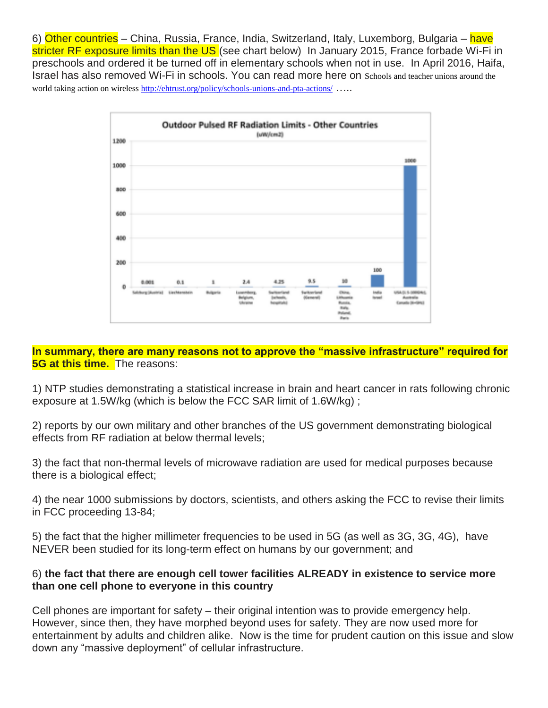6) Other countries – China, Russia, France, India, Switzerland, Italy, Luxemborg, Bulgaria – have stricter RF exposure limits than the US (see chart below) In January 2015, France forbade Wi-Fi in preschools and ordered it be turned off in elementary schools when not in use. In April 2016, Haifa, Israel has also removed Wi-Fi in schools. You can read more here on Schools and teacher unions around the world taking action on wireless <http://ehtrust.org/policy/schools-unions-and-pta-actions/> ....



### **In summary, there are many reasons not to approve the "massive infrastructure" required for 5G at this time.** The reasons:

1) NTP studies demonstrating a statistical increase in brain and heart cancer in rats following chronic exposure at 1.5W/kg (which is below the FCC SAR limit of 1.6W/kg) ;

2) reports by our own military and other branches of the US government demonstrating biological effects from RF radiation at below thermal levels;

3) the fact that non-thermal levels of microwave radiation are used for medical purposes because there is a biological effect;

4) the near 1000 submissions by doctors, scientists, and others asking the FCC to revise their limits in FCC proceeding 13-84;

5) the fact that the higher millimeter frequencies to be used in 5G (as well as 3G, 3G, 4G), have NEVER been studied for its long-term effect on humans by our government; and

## 6) **the fact that there are enough cell tower facilities ALREADY in existence to service more than one cell phone to everyone in this country**

Cell phones are important for safety – their original intention was to provide emergency help. However, since then, they have morphed beyond uses for safety. They are now used more for entertainment by adults and children alike. Now is the time for prudent caution on this issue and slow down any "massive deployment" of cellular infrastructure.